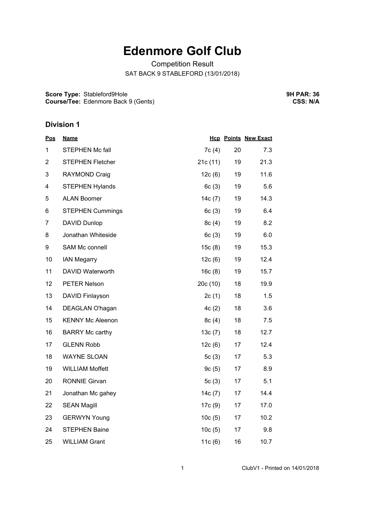## **Edenmore Golf Club**

Competition Result SAT BACK 9 STABLEFORD (13/01/2018)

**Score Type:** Stableford9Hole **Course/Tee:** Edenmore Back 9 (Gents) **9H PAR: 36 CSS: N/A**

## **Division 1**

| <b>Pos</b>     | <u>Name</u>             |           |    | <b>Hcp Points New Exact</b> |
|----------------|-------------------------|-----------|----|-----------------------------|
| 1              | <b>STEPHEN Mc fall</b>  | 7c(4)     | 20 | 7.3                         |
| $\overline{2}$ | <b>STEPHEN Fletcher</b> | 21c(11)   | 19 | 21.3                        |
| 3              | <b>RAYMOND Craig</b>    | 12c(6)    | 19 | 11.6                        |
| 4              | <b>STEPHEN Hylands</b>  | 6c(3)     | 19 | 5.6                         |
| 5              | <b>ALAN Boomer</b>      | 14c(7)    | 19 | 14.3                        |
| 6              | <b>STEPHEN Cummings</b> | 6c(3)     | 19 | 6.4                         |
| 7              | <b>DAVID Dunlop</b>     | 8c(4)     | 19 | 8.2                         |
| 8              | Jonathan Whiteside      | 6c(3)     | 19 | 6.0                         |
| 9              | SAM Mc connell          | 15c(8)    | 19 | 15.3                        |
| 10             | <b>IAN Megarry</b>      | 12c(6)    | 19 | 12.4                        |
| 11             | DAVID Waterworth        | 16c(8)    | 19 | 15.7                        |
| 12             | <b>PETER Nelson</b>     | 20c(10)   | 18 | 19.9                        |
| 13             | DAVID Finlayson         | 2c(1)     | 18 | 1.5                         |
| 14             | DEAGLAN O'hagan         | 4c(2)     | 18 | 3.6                         |
| 15             | <b>KENNY Mc Aleenon</b> | 8c(4)     | 18 | 7.5                         |
| 16             | <b>BARRY Mc carthy</b>  | 13c(7)    | 18 | 12.7                        |
| 17             | <b>GLENN Robb</b>       | 12c(6)    | 17 | 12.4                        |
| 18             | <b>WAYNE SLOAN</b>      | 5 $c(3)$  | 17 | 5.3                         |
| 19             | <b>WILLIAM Moffett</b>  | 9c(5)     | 17 | 8.9                         |
| 20             | <b>RONNIE Girvan</b>    | 5 $c(3)$  | 17 | 5.1                         |
| 21             | Jonathan Mc gahey       | 14c(7)    | 17 | 14.4                        |
| 22             | <b>SEAN Magill</b>      | 17c (9)   | 17 | 17.0                        |
| 23             | <b>GERWYN Young</b>     | 10c(5)    | 17 | 10.2                        |
| 24             | <b>STEPHEN Baine</b>    | 10c(5)    | 17 | 9.8                         |
| 25             | <b>WILLIAM Grant</b>    | 11 $c(6)$ | 16 | 10.7                        |